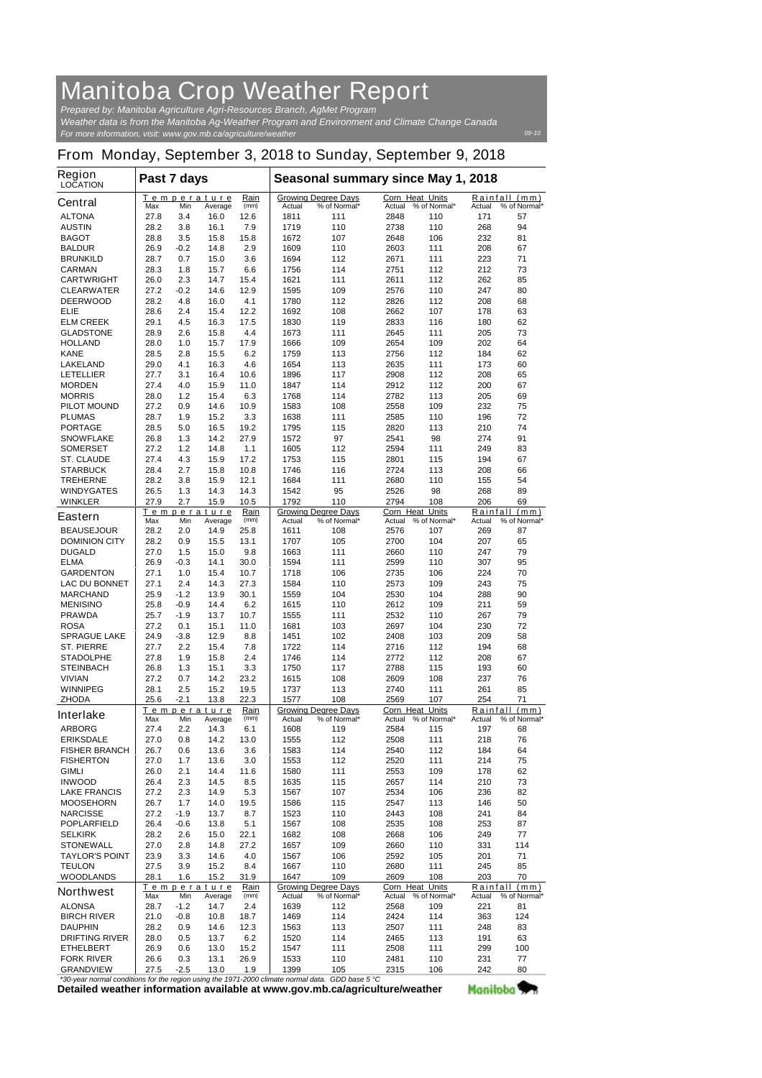## **Manitoba Crop Weather Report** *Prepared by: Manitoba Agriculture Agri-Resources Branch, AgMet Program*

*For more information, visit: www.gov.mb.ca/agriculture/weather Weather data is from the Manitoba Ag-Weather Program and Environment and Climate Change Canada*

## **From Monday, September 3, 2018 to Sunday, September 9, 2018**

| <b>Region</b><br><b>LOCATION</b>          | Past 7 days                                          |               |                               |                                                      | Seasonal summary since May 1, 2018 |                                            |                                  |                                         |                    |                      |
|-------------------------------------------|------------------------------------------------------|---------------|-------------------------------|------------------------------------------------------|------------------------------------|--------------------------------------------|----------------------------------|-----------------------------------------|--------------------|----------------------|
| <b>Central</b>                            | Max                                                  | Min           | Temperature<br>Average        | Rain<br>(mm)                                         | Actual                             | <b>Growing Degree Days</b><br>% of Normal* | Corn Heat Units<br>Actual        | % of Normal*                            | Rainfall<br>Actual | (mm)<br>% of Normal* |
| <b>ALTONA</b>                             | 27.8                                                 | 3.4           | 16.0                          | 12.6                                                 | 1811                               | 111                                        | 2848                             | 110                                     | 171                | 57                   |
| <b>AUSTIN</b>                             | 28.2                                                 | 3.8           | 16.1                          | 7.9                                                  | 1719                               | 110                                        | 2738                             | 110                                     | 268                | 94                   |
| <b>BAGOT</b>                              | 28.8                                                 | 3.5           | 15.8                          | 15.8                                                 | 1672                               | 107                                        | 2648                             | 106                                     | 232                | 81                   |
| <b>BALDUR</b>                             | 26.9                                                 | -0.2          | 14.8                          | 2.9                                                  | 1609                               | 110                                        | 2603                             | 111                                     | 208                | 67                   |
| <b>BRUNKILD</b>                           | 28.7                                                 | 0.7           | 15.0                          | 3.6                                                  | 1694                               | 112                                        | 2671                             | 111                                     | 223                | 71                   |
| <b>CARMAN</b>                             | 28.3                                                 | 1.8           | 15.7                          | 6.6                                                  | 1756                               | 114                                        | 2751                             | 112                                     | 212                | 73                   |
| <b>CARTWRIGHT</b><br><b>CLEARWATER</b>    | 26.0<br>27.2                                         | 2.3<br>$-0.2$ | 14.7<br>14.6                  | 15.4<br>12.9                                         | 1621<br>1595                       | 111<br>109                                 | 2611<br>2576                     | 112<br>110                              | 262<br>247         | 85<br>80             |
| <b>DEERWOOD</b>                           | 28.2                                                 | 4.8           | 16.0                          | 4.1                                                  | 1780                               | 112                                        | 2826                             | 112                                     | 208                | 68                   |
| ELIE                                      | 28.6                                                 | 2.4           | 15.4                          | 12.2                                                 | 1692                               | 108                                        | 2662                             | 107                                     | 178                | 63                   |
| <b>ELM CREEK</b>                          | 29.1                                                 | 4.5           | 16.3                          | 17.5                                                 | 1830                               | 119                                        | 2833                             | 116                                     | 180                | 62                   |
| <b>GLADSTONE</b>                          | 28.9                                                 | 2.6           | 15.8                          | 4.4                                                  | 1673                               | 111                                        | 2645                             | 111                                     | 205                | 73                   |
| <b>HOLLAND</b>                            | 28.0                                                 | 1.0           | 15.7                          | 17.9                                                 | 1666                               | 109                                        | 2654                             | 109                                     | 202                | 64                   |
| <b>KANE</b>                               | 28.5                                                 | 2.8           | 15.5                          | 6.2                                                  | 1759                               | 113                                        | 2756                             | 112                                     | 184                | 62                   |
| <b>LAKELAND</b>                           | 29.0                                                 | 4.1           | 16.3                          | 4.6                                                  | 1654                               | 113                                        | 2635                             | 111                                     | 173                | 60                   |
| <b>LETELLIER</b>                          | 27.7                                                 | 3.1           | 16.4                          | 10.6                                                 | 1896                               | 117                                        | 2908                             | 112                                     | 208                | 65                   |
| <b>MORDEN</b><br><b>MORRIS</b>            | 27.4<br>28.0                                         | 4.0<br>1.2    | 15.9<br>15.4                  | 11.0<br>6.3                                          | 1847<br>1768                       | 114<br>114                                 | 2912<br>2782                     | 112<br>113                              | 200<br>205         | 67<br>69             |
| <b>PILOT MOUND</b>                        | 27.2                                                 | 0.9           | 14.6                          | 10.9                                                 | 1583                               | 108                                        | 2558                             | 109                                     | 232                | 75                   |
| <b>PLUMAS</b>                             | 28.7                                                 | 1.9           | 15.2                          | 3.3                                                  | 1638                               | 111                                        | 2585                             | 110                                     | 196                | 72                   |
| <b>PORTAGE</b>                            | 28.5                                                 | 5.0           | 16.5                          | 19.2                                                 | 1795                               | 115                                        | 2820                             | 113                                     | 210                | 74                   |
| <b>SNOWFLAKE</b>                          | 26.8                                                 | 1.3           | 14.2                          | 27.9                                                 | 1572                               | 97                                         | 2541                             | 98                                      | 274                | 91                   |
| <b>SOMERSET</b>                           | 27.2                                                 | 1.2           | 14.8                          | 1.1                                                  | 1605                               | 112                                        | 2594                             | 111                                     | 249                | 83                   |
| <b>ST. CLAUDE</b>                         | 27.4                                                 | 4.3           | 15.9                          | 17.2                                                 | 1753                               | 115                                        | 2801                             | 115                                     | 194                | 67                   |
| <b>STARBUCK</b>                           | 28.4                                                 | 2.7           | 15.8                          | 10.8                                                 | 1746                               | 116                                        | 2724                             | 113                                     | 208                | 66                   |
| <b>TREHERNE</b>                           | 28.2                                                 | 3.8           | 15.9                          | 12.1                                                 | 1684                               | 111                                        | 2680                             | 110                                     | 155                | 54                   |
| <b>WINDYGATES</b>                         | 26.5                                                 | 1.3           | 14.3                          | 14.3                                                 | 1542                               | 95                                         | 2526                             | 98                                      | 268                | 89                   |
| <b>WINKLER</b>                            | 27.9                                                 | 2.7           | 15.9                          | 10.5                                                 | 1792                               | 110                                        | 2794                             | 108                                     | 206                | 69                   |
| <b>Eastern</b>                            | Max                                                  | Min           | Temperature<br>Average        | Rain<br>(mm)                                         | <b>Actual</b>                      | <b>Growing Degree Days</b><br>% of Normal* | <b>Corn Heat Units</b><br>Actual | % of Normal*                            | Rainfall<br>Actual | (mm)<br>% of Normal* |
| <b>BEAUSEJOUR</b><br><b>DOMINION CITY</b> | 28.2<br>28.2                                         | 2.0           | 14.9<br>15.5                  | 25.8<br>13.1                                         | 1611<br>1707                       | 108<br>105                                 | 2576<br>2700                     | 107<br>104                              | 269<br>207         | 87<br>65             |
| <b>DUGALD</b>                             | 27.0                                                 | 0.9<br>1.5    | 15.0                          | 9.8                                                  | 1663                               | 111                                        | 2660                             | 110                                     | 247                | 79                   |
| <b>ELMA</b>                               | 26.9                                                 | -0.3          | 14.1                          | 30.0                                                 | 1594                               | 111                                        | 2599                             | 110                                     | 307                | 95                   |
| <b>GARDENTON</b>                          | 27.1                                                 | 1.0           | 15.4                          | 10.7                                                 | 1718                               | 106                                        | 2735                             | 106                                     | 224                | 70                   |
| <b>LAC DU BONNET</b>                      | 27.1                                                 | 2.4           | 14.3                          | 27.3                                                 | 1584                               | 110                                        | 2573                             | 109                                     | 243                | 75                   |
| <b>MARCHAND</b>                           | 25.9                                                 | $-1.2$        | 13.9                          | 30.1                                                 | 1559                               | 104                                        | 2530                             | 104                                     | 288                | 90                   |
| <b>MENISINO</b>                           | 25.8                                                 | $-0.9$        | 14.4                          | 6.2                                                  | 1615                               | 110                                        | 2612                             | 109                                     | 211                | 59                   |
| <b>PRAWDA</b>                             | 25.7                                                 | -1.9          | 13.7                          | 10.7                                                 | 1555                               | 111                                        | 2532                             | 110                                     | 267                | 79                   |
| <b>ROSA</b>                               | 27.2                                                 | 0.1           | 15.1                          | 11.0                                                 | 1681                               | 103                                        | 2697                             | 104                                     | 230                | 72                   |
| <b>SPRAGUE LAKE</b>                       | 24.9                                                 | -3.8          | 12.9                          | 8.8                                                  | 1451                               | 102                                        | 2408                             | 103                                     | 209                | 58                   |
| <b>ST. PIERRE</b><br><b>STADOLPHE</b>     | 27.7<br>27.8                                         | 2.2<br>1.9    | 15.4<br>15.8                  | 7.8<br>2.4                                           | 1722<br>1746                       | 114<br>114                                 | 2716<br>2772                     | 112<br>112                              | 194<br>208         | 68<br>67             |
| <b>STEINBACH</b>                          | 26.8                                                 | 1.3           | 15.1                          | 3.3                                                  | 1750                               | 117                                        | 2788                             | 115                                     | 193                | 60                   |
| <b>VIVIAN</b>                             | 27.2                                                 | 0.7           | 14.2                          | 23.2                                                 | 1615                               | 108                                        | 2609                             | 108                                     | 237                | 76                   |
| <b>WINNIPEG</b>                           | 28.1                                                 | 2.5           | 15.2                          | 19.5                                                 | 1737                               | 113                                        | 2740                             | 111                                     | 261                | 85                   |
| <b>ZHODA</b>                              | 25.6                                                 | -2.1          | 13.8                          | 22.3                                                 | 1577                               | 108                                        | 2569                             | 107                                     | 254                | 71                   |
| <b>Interlake</b>                          | Temperature<br>Rain<br>Max<br>Min<br>Average<br>(mm) |               |                               | <b>Growing Degree Days</b><br>Actual<br>% of Normal* |                                    | Corn Heat Units                            | Actual % of Normal*              | Rainfall (mm)<br>Actual<br>% of Normal* |                    |                      |
| <b>ARBORG</b>                             | 27.4                                                 | 2.2           | 14.3                          | 6.1                                                  | 1608                               | 119                                        | 2584                             | 115                                     | 197                | 68                   |
| <b>ERIKSDALE</b>                          | 27.0                                                 | 0.8           | 14.2                          | 13.0                                                 | 1555                               | 112                                        | 2508                             | 111                                     | 218                | 76                   |
| <b>FISHER BRANCH</b>                      | 26.7                                                 | 0.6           | 13.6                          | 3.6                                                  | 1583                               | 114                                        | 2540                             | 112                                     | 184                | 64                   |
| <b>FISHERTON</b>                          | 27.0                                                 | 1.7           | 13.6                          | 3.0                                                  | 1553                               | 112                                        | 2520                             | 111                                     | 214                | 75                   |
| <b>GIMLI</b>                              | 26.0                                                 | 2.1           | 14.4                          | 11.6                                                 | 1580                               | 111                                        | 2553                             | 109                                     | 178                | 62                   |
| <b>INWOOD</b>                             | 26.4                                                 | 2.3           | 14.5                          | 8.5                                                  | 1635<br>1567                       | 115                                        | 2657<br>2534                     | 114                                     | 210                | 73<br>82             |
| <b>LAKE FRANCIS</b><br><b>MOOSEHORN</b>   | 27.2<br>26.7                                         | 2.3<br>1.7    | 14.9<br>14.0                  | 5.3<br>19.5                                          | 1586                               | 107<br>115                                 | 2547                             | 106<br>113                              | 236<br>146         | 50                   |
| <b>NARCISSE</b>                           | 27.2                                                 | $-1.9$        | 13.7                          | 8.7                                                  | 1523                               | 110                                        | 2443                             | 108                                     | 241                | 84                   |
| <b>POPLARFIELD</b>                        | 26.4                                                 | -0.6          | 13.8                          | 5.1                                                  | 1567                               | 108                                        | 2535                             | 108                                     | 253                | 87                   |
| <b>SELKIRK</b>                            | 28.2                                                 | 2.6           | 15.0                          | 22.1                                                 | 1682                               | 108                                        | 2668                             | 106                                     | 249                | 77                   |
| <b>STONEWALL</b>                          | 27.0                                                 | 2.8           | 14.8                          | 27.2                                                 | 1657                               | 109                                        | 2660                             | 110                                     | 331                | 114                  |
| <b>TAYLOR'S POINT</b>                     | 23.9                                                 | 3.3           | 14.6                          | 4.0                                                  | 1567                               | 106                                        | 2592                             | 105                                     | 201                | 71                   |
| <b>TEULON</b>                             | 27.5                                                 | 3.9           | 15.2                          | 8.4                                                  | 1667                               | 110                                        | 2680                             | 111                                     | 245                | 85                   |
| <b>WOODLANDS</b>                          | 28.1                                                 | 1.6           | 15.2                          | 31.9                                                 | 1647                               | 109                                        | 2609                             | 108                                     | 203                | 70                   |
| <b>Northwest</b>                          | Max                                                  | Min           | <u>Temperature</u><br>Average | <b>Rain</b><br>(mm)                                  | Actual                             | <b>Growing Degree Days</b><br>% of Normal* | Corn Heat<br>Actual              | <b>Units</b><br>% of Normal*            | Rainfall<br>Actual | (mm)<br>% of Normal* |
| <b>ALONSA</b>                             | 28.7                                                 | -1.2          | 14.7                          | 2.4                                                  | 1639                               | 112                                        | 2568                             | 109                                     | 221                | 81                   |
| <b>BIRCH RIVER</b>                        | 21.0                                                 | -0.8          | 10.8                          | 18.7                                                 | 1469                               | 114                                        | 2424                             | 114                                     | 363                | 124                  |
| <b>DAUPHIN</b>                            | 28.2                                                 | 0.9           | 14.6                          | 12.3                                                 | 1563                               | 113                                        | 2507                             | 111                                     | 248                | 83                   |
| <b>DRIFTING RIVER</b>                     | 28.0                                                 | 0.5           | 13.7                          | 6.2                                                  | 1520                               | 114                                        | 2465                             | 113                                     | 191                | 63                   |
| <b>ETHELBERT</b><br><b>FORK RIVER</b>     | 26.9<br>26.6                                         | 0.6<br>0.3    | 13.0<br>13.1                  | 15.2<br>26.9                                         | 1547<br>1533                       | 111<br>110                                 | 2508<br>2481                     | 111<br>110                              | 299<br>231         | 100<br>77            |
| <b>GRANDVIEW</b>                          | 27.5                                                 | $-2.5$        | 13.0                          | 1.9                                                  | 1399                               | 105                                        | 2315                             | 106                                     | 242                | 80                   |
|                                           |                                                      |               |                               |                                                      |                                    |                                            |                                  |                                         |                    |                      |

**Detailed weather information available at www.gov.mb.ca/agriculture/weather** *\*30-year normal conditions for the region using the 1971-2000 climate normal data. GDD base 5 °C* Manitoba<sup>y</sup>